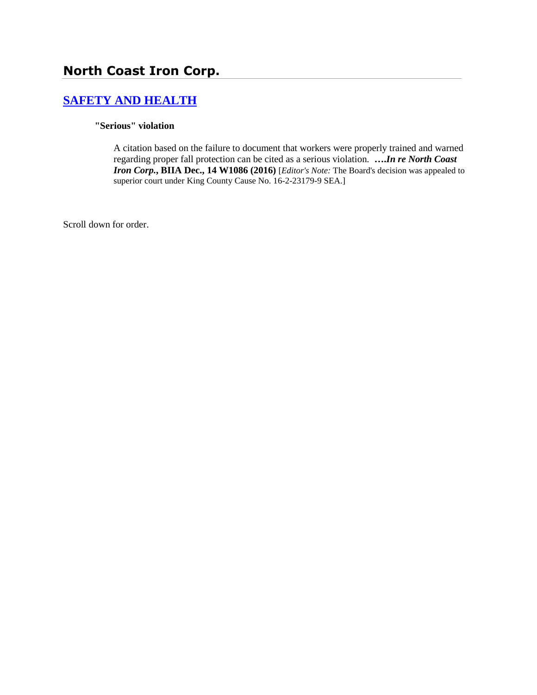# **North Coast Iron Corp.**

# **[SAFETY AND HEALTH](http://www.biia.wa.gov/SDSubjectIndex.html#SAFETY_AND_HEALTH)**

#### **"Serious" violation**

A citation based on the failure to document that workers were properly trained and warned regarding proper fall protection can be cited as a serious violation. **….***In re North Coast Iron Corp.***, BIIA Dec., 14 W1086 (2016)** [*Editor's Note:* The Board's decision was appealed to superior court under King County Cause No. 16-2-23179-9 SEA.]

Scroll down for order.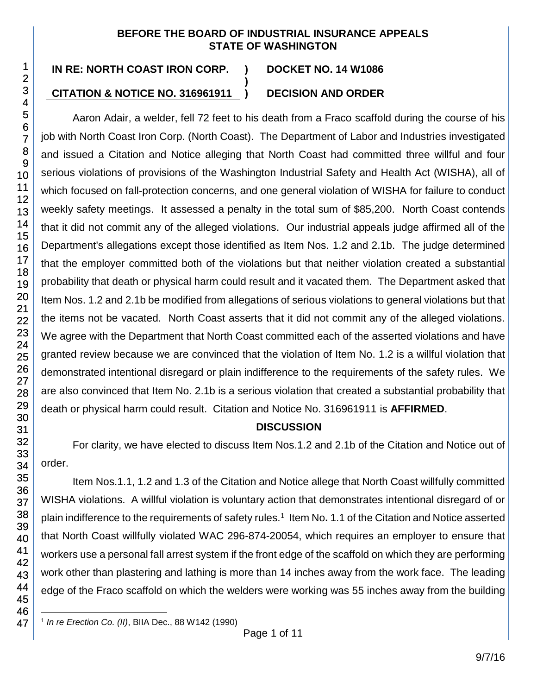#### **BEFORE THE BOARD OF INDUSTRIAL INSURANCE APPEALS STATE OF WASHINGTON**

**)**

1

# **IN RE: NORTH COAST IRON CORP. ) DOCKET NO. 14 W1086**

# **CITATION & NOTICE NO. 316961911 ) DECISION AND ORDER**

Aaron Adair, a welder, fell 72 feet to his death from a Fraco scaffold during the course of his job with North Coast Iron Corp. (North Coast). The Department of Labor and Industries investigated and issued a Citation and Notice alleging that North Coast had committed three willful and four serious violations of provisions of the Washington Industrial Safety and Health Act (WISHA), all of which focused on fall-protection concerns, and one general violation of WISHA for failure to conduct weekly safety meetings. It assessed a penalty in the total sum of \$85,200. North Coast contends that it did not commit any of the alleged violations. Our industrial appeals judge affirmed all of the Department's allegations except those identified as Item Nos. 1.2 and 2.1b. The judge determined that the employer committed both of the violations but that neither violation created a substantial probability that death or physical harm could result and it vacated them. The Department asked that Item Nos. 1.2 and 2.1b be modified from allegations of serious violations to general violations but that the items not be vacated. North Coast asserts that it did not commit any of the alleged violations. We agree with the Department that North Coast committed each of the asserted violations and have granted review because we are convinced that the violation of Item No. 1.2 is a willful violation that demonstrated intentional disregard or plain indifference to the requirements of the safety rules. We are also convinced that Item No. 2.1b is a serious violation that created a substantial probability that death or physical harm could result. Citation and Notice No. 316961911 is **AFFIRMED**.

#### **DISCUSSION**

For clarity, we have elected to discuss Item Nos.1.2 and 2.1b of the Citation and Notice out of order.

Item Nos.1.1, 1.2 and 1.3 of the Citation and Notice allege that North Coast willfully committed WISHA violations. A willful violation is voluntary action that demonstrates intentional disregard of or plain indifference to the requirements of safety rules.<sup>1</sup> Item No. 1.1 of the Citation and Notice asserted that North Coast willfully violated WAC 296-874-20054, which requires an employer to ensure that workers use a personal fall arrest system if the front edge of the scaffold on which they are performing work other than plastering and lathing is more than 14 inches away from the work face. The leading edge of the Fraco scaffold on which the welders were working was 55 inches away from the building

l 1 *In re Erection Co. (II)*, BIIA Dec., 88 W142 (1990)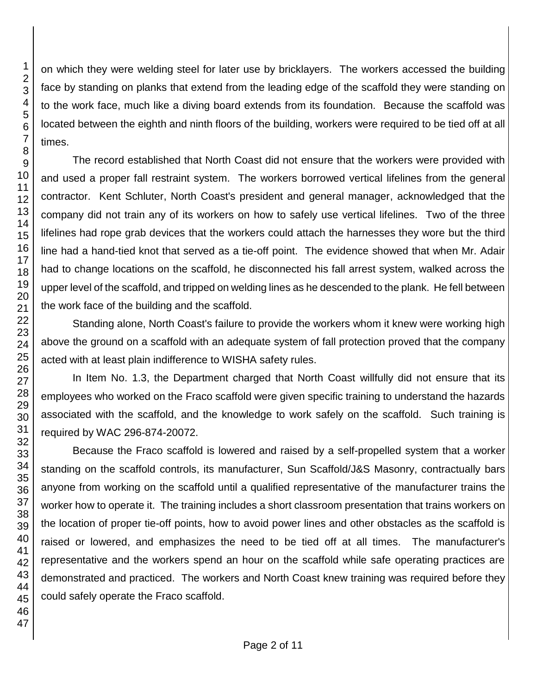on which they were welding steel for later use by bricklayers. The workers accessed the building face by standing on planks that extend from the leading edge of the scaffold they were standing on to the work face, much like a diving board extends from its foundation. Because the scaffold was located between the eighth and ninth floors of the building, workers were required to be tied off at all

The record established that North Coast did not ensure that the workers were provided with and used a proper fall restraint system. The workers borrowed vertical lifelines from the general contractor. Kent Schluter, North Coast's president and general manager, acknowledged that the company did not train any of its workers on how to safely use vertical lifelines. Two of the three lifelines had rope grab devices that the workers could attach the harnesses they wore but the third line had a hand-tied knot that served as a tie-off point. The evidence showed that when Mr. Adair had to change locations on the scaffold, he disconnected his fall arrest system, walked across the upper level of the scaffold, and tripped on welding lines as he descended to the plank. He fell between the work face of the building and the scaffold.

Standing alone, North Coast's failure to provide the workers whom it knew were working high above the ground on a scaffold with an adequate system of fall protection proved that the company acted with at least plain indifference to WISHA safety rules.

In Item No. 1.3, the Department charged that North Coast willfully did not ensure that its employees who worked on the Fraco scaffold were given specific training to understand the hazards associated with the scaffold, and the knowledge to work safely on the scaffold. Such training is required by WAC 296-874-20072.

Because the Fraco scaffold is lowered and raised by a self-propelled system that a worker standing on the scaffold controls, its manufacturer, Sun Scaffold/J&S Masonry, contractually bars anyone from working on the scaffold until a qualified representative of the manufacturer trains the worker how to operate it. The training includes a short classroom presentation that trains workers on the location of proper tie-off points, how to avoid power lines and other obstacles as the scaffold is raised or lowered, and emphasizes the need to be tied off at all times. The manufacturer's representative and the workers spend an hour on the scaffold while safe operating practices are demonstrated and practiced. The workers and North Coast knew training was required before they could safely operate the Fraco scaffold.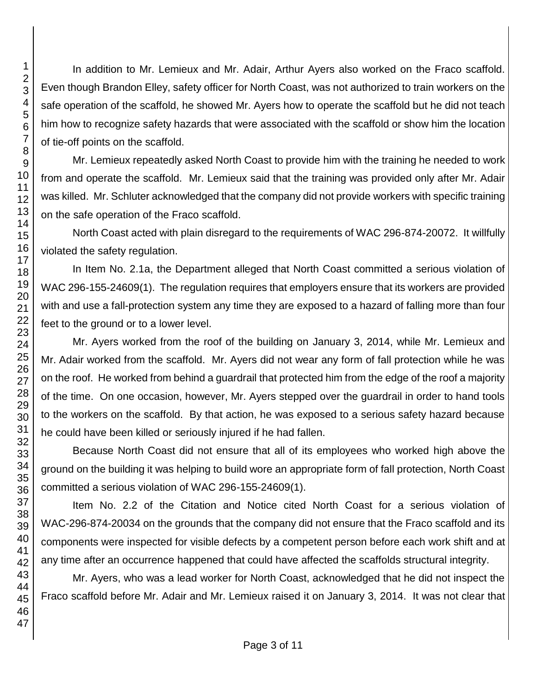In addition to Mr. Lemieux and Mr. Adair, Arthur Ayers also worked on the Fraco scaffold. Even though Brandon Elley, safety officer for North Coast, was not authorized to train workers on the safe operation of the scaffold, he showed Mr. Ayers how to operate the scaffold but he did not teach him how to recognize safety hazards that were associated with the scaffold or show him the location of tie-off points on the scaffold.

Mr. Lemieux repeatedly asked North Coast to provide him with the training he needed to work from and operate the scaffold. Mr. Lemieux said that the training was provided only after Mr. Adair was killed. Mr. Schluter acknowledged that the company did not provide workers with specific training on the safe operation of the Fraco scaffold.

North Coast acted with plain disregard to the requirements of WAC 296-874-20072. It willfully violated the safety regulation.

In Item No. 2.1a, the Department alleged that North Coast committed a serious violation of WAC 296-155-24609(1). The regulation requires that employers ensure that its workers are provided with and use a fall-protection system any time they are exposed to a hazard of falling more than four feet to the ground or to a lower level.

Mr. Ayers worked from the roof of the building on January 3, 2014, while Mr. Lemieux and Mr. Adair worked from the scaffold. Mr. Ayers did not wear any form of fall protection while he was on the roof. He worked from behind a guardrail that protected him from the edge of the roof a majority of the time. On one occasion, however, Mr. Ayers stepped over the guardrail in order to hand tools to the workers on the scaffold. By that action, he was exposed to a serious safety hazard because he could have been killed or seriously injured if he had fallen.

Because North Coast did not ensure that all of its employees who worked high above the ground on the building it was helping to build wore an appropriate form of fall protection, North Coast committed a serious violation of WAC 296-155-24609(1).

Item No. 2.2 of the Citation and Notice cited North Coast for a serious violation of WAC-296-874-20034 on the grounds that the company did not ensure that the Fraco scaffold and its components were inspected for visible defects by a competent person before each work shift and at any time after an occurrence happened that could have affected the scaffolds structural integrity.

Mr. Ayers, who was a lead worker for North Coast, acknowledged that he did not inspect the Fraco scaffold before Mr. Adair and Mr. Lemieux raised it on January 3, 2014. It was not clear that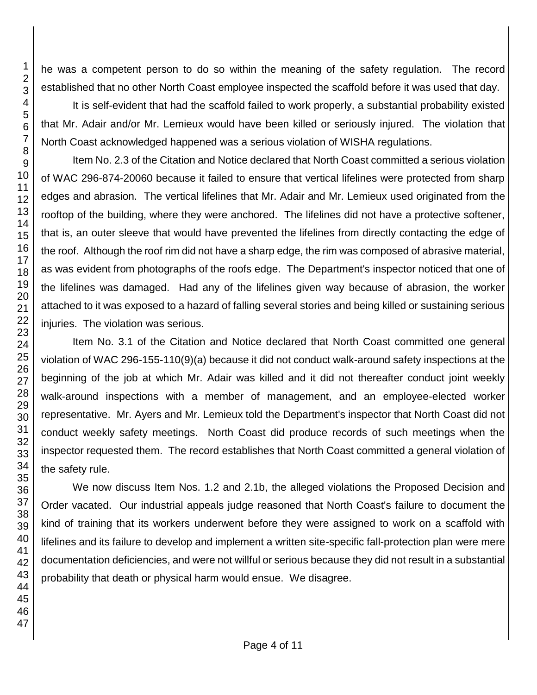he was a competent person to do so within the meaning of the safety regulation. The record established that no other North Coast employee inspected the scaffold before it was used that day.

It is self-evident that had the scaffold failed to work properly, a substantial probability existed that Mr. Adair and/or Mr. Lemieux would have been killed or seriously injured. The violation that North Coast acknowledged happened was a serious violation of WISHA regulations.

Item No. 2.3 of the Citation and Notice declared that North Coast committed a serious violation of WAC 296-874-20060 because it failed to ensure that vertical lifelines were protected from sharp edges and abrasion. The vertical lifelines that Mr. Adair and Mr. Lemieux used originated from the rooftop of the building, where they were anchored. The lifelines did not have a protective softener, that is, an outer sleeve that would have prevented the lifelines from directly contacting the edge of the roof. Although the roof rim did not have a sharp edge, the rim was composed of abrasive material, as was evident from photographs of the roofs edge. The Department's inspector noticed that one of the lifelines was damaged. Had any of the lifelines given way because of abrasion, the worker attached to it was exposed to a hazard of falling several stories and being killed or sustaining serious injuries. The violation was serious.

Item No. 3.1 of the Citation and Notice declared that North Coast committed one general violation of WAC 296-155-110(9)(a) because it did not conduct walk-around safety inspections at the beginning of the job at which Mr. Adair was killed and it did not thereafter conduct joint weekly walk-around inspections with a member of management, and an employee-elected worker representative. Mr. Ayers and Mr. Lemieux told the Department's inspector that North Coast did not conduct weekly safety meetings. North Coast did produce records of such meetings when the inspector requested them. The record establishes that North Coast committed a general violation of the safety rule.

We now discuss Item Nos. 1.2 and 2.1b, the alleged violations the Proposed Decision and Order vacated. Our industrial appeals judge reasoned that North Coast's failure to document the kind of training that its workers underwent before they were assigned to work on a scaffold with lifelines and its failure to develop and implement a written site-specific fall-protection plan were mere documentation deficiencies, and were not willful or serious because they did not result in a substantial probability that death or physical harm would ensue. We disagree.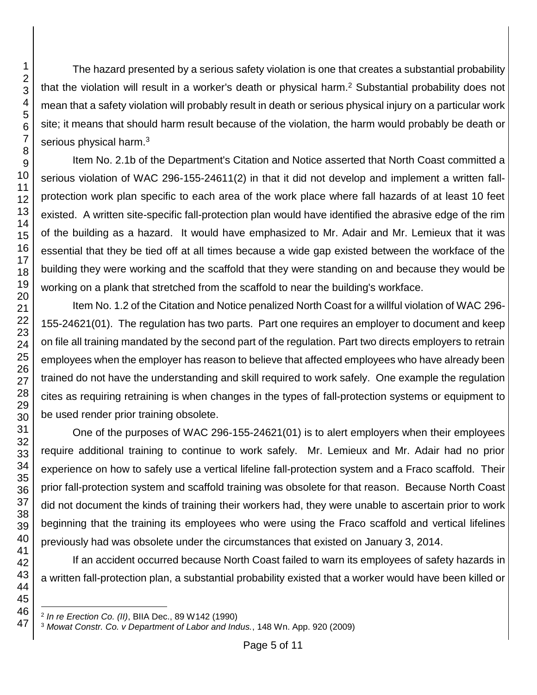The hazard presented by a serious safety violation is one that creates a substantial probability that the violation will result in a worker's death or physical harm.<sup>2</sup> Substantial probability does not mean that a safety violation will probably result in death or serious physical injury on a particular work site; it means that should harm result because of the violation, the harm would probably be death or serious physical harm.<sup>3</sup>

Item No. 2.1b of the Department's Citation and Notice asserted that North Coast committed a serious violation of WAC 296-155-24611(2) in that it did not develop and implement a written fallprotection work plan specific to each area of the work place where fall hazards of at least 10 feet existed. A written site-specific fall-protection plan would have identified the abrasive edge of the rim of the building as a hazard. It would have emphasized to Mr. Adair and Mr. Lemieux that it was essential that they be tied off at all times because a wide gap existed between the workface of the building they were working and the scaffold that they were standing on and because they would be working on a plank that stretched from the scaffold to near the building's workface.

Item No. 1.2 of the Citation and Notice penalized North Coast for a willful violation of WAC 296- 155-24621(01). The regulation has two parts. Part one requires an employer to document and keep on file all training mandated by the second part of the regulation. Part two directs employers to retrain employees when the employer has reason to believe that affected employees who have already been trained do not have the understanding and skill required to work safely. One example the regulation cites as requiring retraining is when changes in the types of fall-protection systems or equipment to be used render prior training obsolete.

One of the purposes of WAC 296-155-24621(01) is to alert employers when their employees require additional training to continue to work safely. Mr. Lemieux and Mr. Adair had no prior experience on how to safely use a vertical lifeline fall-protection system and a Fraco scaffold. Their prior fall-protection system and scaffold training was obsolete for that reason. Because North Coast did not document the kinds of training their workers had, they were unable to ascertain prior to work beginning that the training its employees who were using the Fraco scaffold and vertical lifelines previously had was obsolete under the circumstances that existed on January 3, 2014.

If an accident occurred because North Coast failed to warn its employees of safety hazards in a written fall-protection plan, a substantial probability existed that a worker would have been killed or

l *In re Erection Co. (II)*, BIIA Dec., 89 W142 (1990)

*Mowat Constr. Co. v Department of Labor and Indus.*, 148 Wn. App. 920 (2009)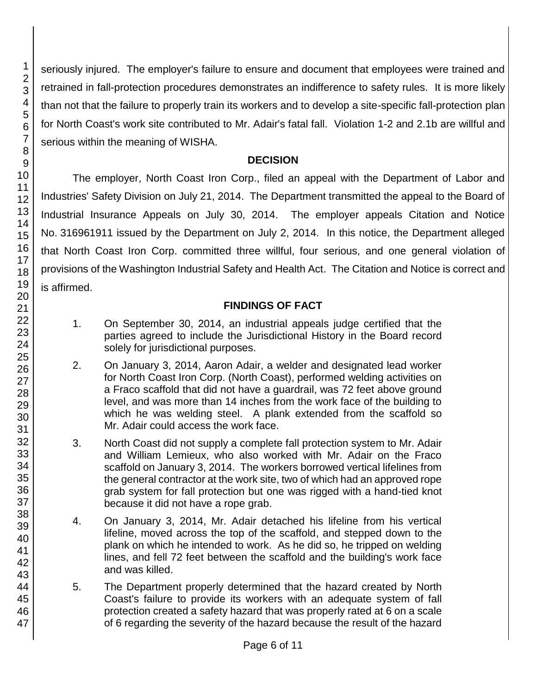seriously injured. The employer's failure to ensure and document that employees were trained and retrained in fall-protection procedures demonstrates an indifference to safety rules. It is more likely than not that the failure to properly train its workers and to develop a site-specific fall-protection plan for North Coast's work site contributed to Mr. Adair's fatal fall. Violation 1-2 and 2.1b are willful and serious within the meaning of WISHA.

#### **DECISION**

The employer, North Coast Iron Corp., filed an appeal with the Department of Labor and Industries' Safety Division on July 21, 2014. The Department transmitted the appeal to the Board of Industrial Insurance Appeals on July 30, 2014. The employer appeals Citation and Notice No. 316961911 issued by the Department on July 2, 2014. In this notice, the Department alleged that North Coast Iron Corp. committed three willful, four serious, and one general violation of provisions of the Washington Industrial Safety and Health Act. The Citation and Notice is correct and is affirmed.

### **FINDINGS OF FACT**

- 1. On September 30, 2014, an industrial appeals judge certified that the parties agreed to include the Jurisdictional History in the Board record solely for jurisdictional purposes.
- 2. On January 3, 2014, Aaron Adair, a welder and designated lead worker for North Coast Iron Corp. (North Coast), performed welding activities on a Fraco scaffold that did not have a guardrail, was 72 feet above ground level, and was more than 14 inches from the work face of the building to which he was welding steel. A plank extended from the scaffold so Mr. Adair could access the work face.
- 3. North Coast did not supply a complete fall protection system to Mr. Adair and William Lemieux, who also worked with Mr. Adair on the Fraco scaffold on January 3, 2014. The workers borrowed vertical lifelines from the general contractor at the work site, two of which had an approved rope grab system for fall protection but one was rigged with a hand-tied knot because it did not have a rope grab.
- 4. On January 3, 2014, Mr. Adair detached his lifeline from his vertical lifeline, moved across the top of the scaffold, and stepped down to the plank on which he intended to work. As he did so, he tripped on welding lines, and fell 72 feet between the scaffold and the building's work face and was killed.
- 5. The Department properly determined that the hazard created by North Coast's failure to provide its workers with an adequate system of fall protection created a safety hazard that was properly rated at 6 on a scale of 6 regarding the severity of the hazard because the result of the hazard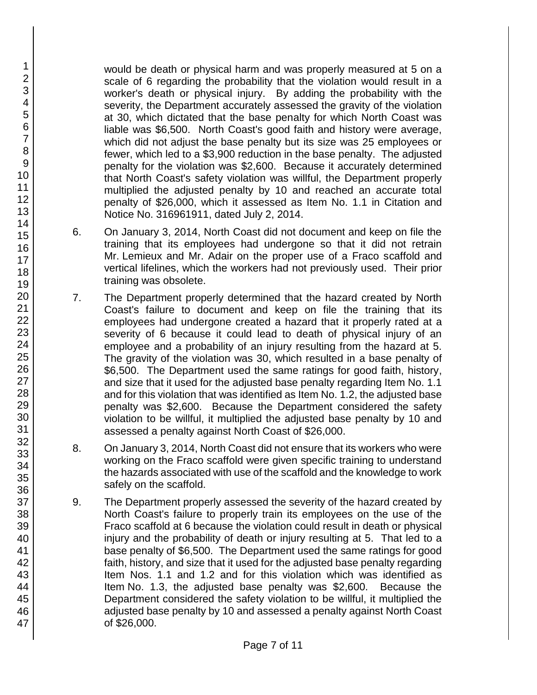would be death or physical harm and was properly measured at 5 on a scale of 6 regarding the probability that the violation would result in a worker's death or physical injury. By adding the probability with the severity, the Department accurately assessed the gravity of the violation at 30, which dictated that the base penalty for which North Coast was liable was \$6,500. North Coast's good faith and history were average, which did not adjust the base penalty but its size was 25 employees or fewer, which led to a \$3,900 reduction in the base penalty. The adjusted penalty for the violation was \$2,600. Because it accurately determined that North Coast's safety violation was willful, the Department properly multiplied the adjusted penalty by 10 and reached an accurate total penalty of \$26,000, which it assessed as Item No. 1.1 in Citation and Notice No. 316961911, dated July 2, 2014.

- 6. On January 3, 2014, North Coast did not document and keep on file the training that its employees had undergone so that it did not retrain Mr. Lemieux and Mr. Adair on the proper use of a Fraco scaffold and vertical lifelines, which the workers had not previously used. Their prior training was obsolete.
- 7. The Department properly determined that the hazard created by North Coast's failure to document and keep on file the training that its employees had undergone created a hazard that it properly rated at a severity of 6 because it could lead to death of physical injury of an employee and a probability of an injury resulting from the hazard at 5. The gravity of the violation was 30, which resulted in a base penalty of \$6,500. The Department used the same ratings for good faith, history, and size that it used for the adjusted base penalty regarding Item No. 1.1 and for this violation that was identified as Item No. 1.2, the adjusted base penalty was \$2,600. Because the Department considered the safety violation to be willful, it multiplied the adjusted base penalty by 10 and assessed a penalty against North Coast of \$26,000.
- 8. On January 3, 2014, North Coast did not ensure that its workers who were working on the Fraco scaffold were given specific training to understand the hazards associated with use of the scaffold and the knowledge to work safely on the scaffold.
- 9. The Department properly assessed the severity of the hazard created by North Coast's failure to properly train its employees on the use of the Fraco scaffold at 6 because the violation could result in death or physical injury and the probability of death or injury resulting at 5. That led to a base penalty of \$6,500. The Department used the same ratings for good faith, history, and size that it used for the adjusted base penalty regarding Item Nos. 1.1 and 1.2 and for this violation which was identified as Item No. 1.3, the adjusted base penalty was \$2,600. Because the Department considered the safety violation to be willful, it multiplied the adjusted base penalty by 10 and assessed a penalty against North Coast of \$26,000.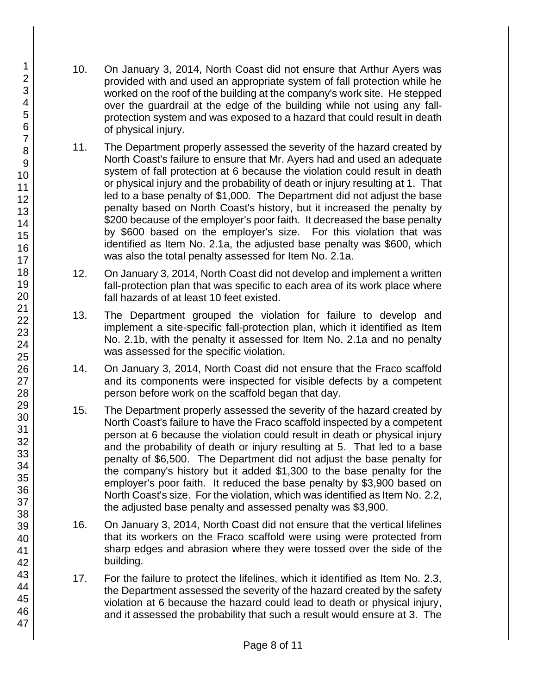- 10. On January 3, 2014, North Coast did not ensure that Arthur Ayers was provided with and used an appropriate system of fall protection while he worked on the roof of the building at the company's work site. He stepped over the guardrail at the edge of the building while not using any fallprotection system and was exposed to a hazard that could result in death of physical injury.
- 11. The Department properly assessed the severity of the hazard created by North Coast's failure to ensure that Mr. Ayers had and used an adequate system of fall protection at 6 because the violation could result in death or physical injury and the probability of death or injury resulting at 1. That led to a base penalty of \$1,000. The Department did not adjust the base penalty based on North Coast's history, but it increased the penalty by \$200 because of the employer's poor faith. It decreased the base penalty by \$600 based on the employer's size. For this violation that was identified as Item No. 2.1a, the adjusted base penalty was \$600, which was also the total penalty assessed for Item No. 2.1a.
- 12. On January 3, 2014, North Coast did not develop and implement a written fall-protection plan that was specific to each area of its work place where fall hazards of at least 10 feet existed.
- 13. The Department grouped the violation for failure to develop and implement a site-specific fall-protection plan, which it identified as Item No. 2.1b, with the penalty it assessed for Item No. 2.1a and no penalty was assessed for the specific violation.
- 14. On January 3, 2014, North Coast did not ensure that the Fraco scaffold and its components were inspected for visible defects by a competent person before work on the scaffold began that day.
- 15. The Department properly assessed the severity of the hazard created by North Coast's failure to have the Fraco scaffold inspected by a competent person at 6 because the violation could result in death or physical injury and the probability of death or injury resulting at 5. That led to a base penalty of \$6,500. The Department did not adjust the base penalty for the company's history but it added \$1,300 to the base penalty for the employer's poor faith. It reduced the base penalty by \$3,900 based on North Coast's size. For the violation, which was identified as Item No. 2.2, the adjusted base penalty and assessed penalty was \$3,900.
- 16. On January 3, 2014, North Coast did not ensure that the vertical lifelines that its workers on the Fraco scaffold were using were protected from sharp edges and abrasion where they were tossed over the side of the building.
- 17. For the failure to protect the lifelines, which it identified as Item No. 2.3, the Department assessed the severity of the hazard created by the safety violation at 6 because the hazard could lead to death or physical injury, and it assessed the probability that such a result would ensure at 3. The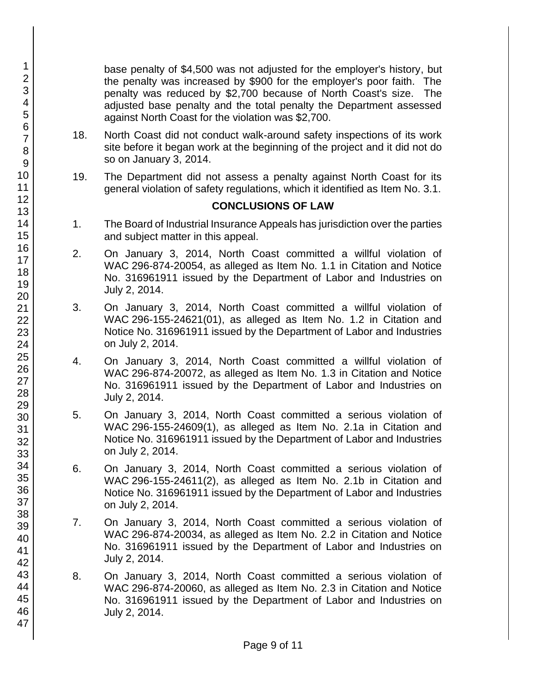base penalty of \$4,500 was not adjusted for the employer's history, but the penalty was increased by \$900 for the employer's poor faith. The penalty was reduced by \$2,700 because of North Coast's size. The adjusted base penalty and the total penalty the Department assessed against North Coast for the violation was \$2,700.

- 18. North Coast did not conduct walk-around safety inspections of its work site before it began work at the beginning of the project and it did not do so on January 3, 2014.
- 19. The Department did not assess a penalty against North Coast for its general violation of safety regulations, which it identified as Item No. 3.1.

#### **CONCLUSIONS OF LAW**

- 1. The Board of Industrial Insurance Appeals has jurisdiction over the parties and subject matter in this appeal.
- 2. On January 3, 2014, North Coast committed a willful violation of WAC 296-874-20054, as alleged as Item No. 1.1 in Citation and Notice No. 316961911 issued by the Department of Labor and Industries on July 2, 2014.
- 3. On January 3, 2014, North Coast committed a willful violation of WAC 296-155-24621(01), as alleged as Item No. 1.2 in Citation and Notice No. 316961911 issued by the Department of Labor and Industries on July 2, 2014.
- 4. On January 3, 2014, North Coast committed a willful violation of WAC 296-874-20072, as alleged as Item No. 1.3 in Citation and Notice No. 316961911 issued by the Department of Labor and Industries on July 2, 2014.
- 5. On January 3, 2014, North Coast committed a serious violation of WAC 296-155-24609(1), as alleged as Item No. 2.1a in Citation and Notice No. 316961911 issued by the Department of Labor and Industries on July 2, 2014.
- 6. On January 3, 2014, North Coast committed a serious violation of WAC 296-155-24611(2), as alleged as Item No. 2.1b in Citation and Notice No. 316961911 issued by the Department of Labor and Industries on July 2, 2014.
- 7. On January 3, 2014, North Coast committed a serious violation of WAC 296-874-20034, as alleged as Item No. 2.2 in Citation and Notice No. 316961911 issued by the Department of Labor and Industries on July 2, 2014.
- 8. On January 3, 2014, North Coast committed a serious violation of WAC 296-874-20060, as alleged as Item No. 2.3 in Citation and Notice No. 316961911 issued by the Department of Labor and Industries on July 2, 2014.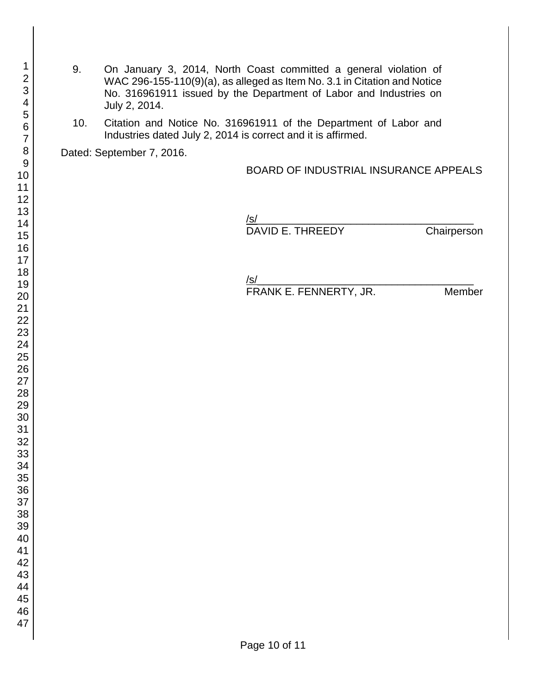- 9. On January 3, 2014, North Coast committed a general violation of WAC 296-155-110(9)(a), as alleged as Item No. 3.1 in Citation and Notice No. 316961911 issued by the Department of Labor and Industries on July 2, 2014.
- 10. Citation and Notice No. 316961911 of the Department of Labor and Industries dated July 2, 2014 is correct and it is affirmed.

Dated: September 7, 2016.

#### BOARD OF INDUSTRIAL INSURANCE APPEALS

| /s/              |             |
|------------------|-------------|
| DAVID E. THREEDY | Chairperson |

/s/ FRANK E. FENNERTY, JR. Member